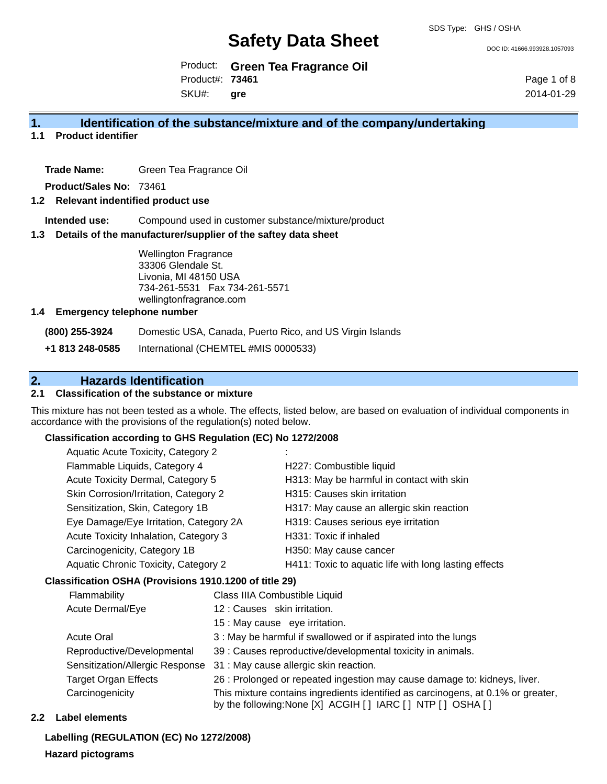DOC ID: 41666.993928.1057093

Product: **Green Tea Fragrance Oil** Product#: **73461** SKU#: **gre**

Page 1 of 8 2014-01-29

#### **1. Identification of the substance/mixture and of the company/undertaking**

**1.1 Product identifier**

**Trade Name:** Green Tea Fragrance Oil

**Product/Sales No:** 73461

#### **1.2 Relevant indentified product use**

**Intended use:** Compound used in customer substance/mixture/product

#### **1.3 Details of the manufacturer/supplier of the saftey data sheet**

Wellington Fragrance 33306 Glendale St. Livonia, MI 48150 USA 734-261-5531 Fax 734-261-5571 wellingtonfragrance.com

#### **1.4 Emergency telephone number**

**(800) 255-3924** Domestic USA, Canada, Puerto Rico, and US Virgin Islands

**+1 813 248-0585** International (CHEMTEL #MIS 0000533)

## **2. Hazards Identification**

#### **2.1 Classification of the substance or mixture**

This mixture has not been tested as a whole. The effects, listed below, are based on evaluation of individual components in accordance with the provisions of the regulation(s) noted below.

#### **Classification according to GHS Regulation (EC) No 1272/2008**

| Aquatic Acute Toxicity, Category 2     |                                                       |
|----------------------------------------|-------------------------------------------------------|
| Flammable Liquids, Category 4          | H227: Combustible liquid                              |
| Acute Toxicity Dermal, Category 5      | H313: May be harmful in contact with skin             |
| Skin Corrosion/Irritation, Category 2  | H315: Causes skin irritation                          |
| Sensitization, Skin, Category 1B       | H317: May cause an allergic skin reaction             |
| Eye Damage/Eye Irritation, Category 2A | H319: Causes serious eye irritation                   |
| Acute Toxicity Inhalation, Category 3  | H331: Toxic if inhaled                                |
| Carcinogenicity, Category 1B           | H350: May cause cancer                                |
| Aquatic Chronic Toxicity, Category 2   | H411: Toxic to aquatic life with long lasting effects |
|                                        |                                                       |

#### **Classification OSHA (Provisions 1910.1200 of title 29)**

| Flammability                    | Class IIIA Combustible Liquid                                                                                                                      |
|---------------------------------|----------------------------------------------------------------------------------------------------------------------------------------------------|
| Acute Dermal/Eye                | 12 : Causes skin irritation.                                                                                                                       |
|                                 | 15 : May cause eye irritation.                                                                                                                     |
| <b>Acute Oral</b>               | 3 : May be harmful if swallowed or if aspirated into the lungs                                                                                     |
| Reproductive/Developmental      | 39 : Causes reproductive/developmental toxicity in animals.                                                                                        |
| Sensitization/Allergic Response | 31 : May cause allergic skin reaction.                                                                                                             |
| <b>Target Organ Effects</b>     | 26 : Prolonged or repeated ingestion may cause damage to: kidneys, liver.                                                                          |
| Carcinogenicity                 | This mixture contains ingredients identified as carcinogens, at 0.1% or greater,<br>by the following: None [X] ACGIH [ ] IARC [ ] NTP [ ] OSHA [ ] |

#### **2.2 Label elements**

**Labelling (REGULATION (EC) No 1272/2008)**

#### **Hazard pictograms**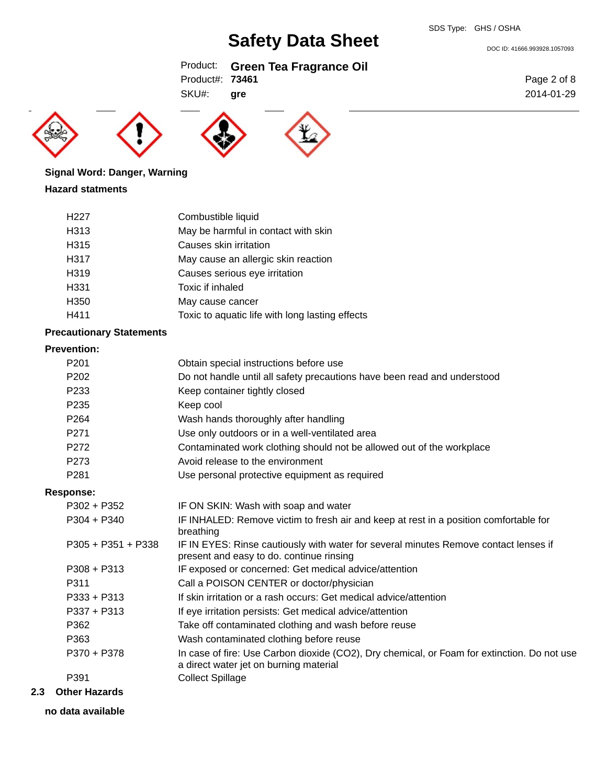DOC ID: 41666.993928.1057093

### Product: **Green Tea Fragrance Oil** Product#: **73461**

**gre**





SKU#:



# **Signal Word: Danger, Warning**

#### **Hazard statments**

| H <sub>22</sub> 7 | Combustible liquid                              |
|-------------------|-------------------------------------------------|
| H313              | May be harmful in contact with skin             |
| H315              | Causes skin irritation                          |
| H317              | May cause an allergic skin reaction             |
| H319              | Causes serious eye irritation                   |
| H331              | Toxic if inhaled                                |
| H350              | May cause cancer                                |
| H411              | Toxic to aquatic life with long lasting effects |
|                   |                                                 |

#### **Precautionary Statements**

#### **Prevention:**

| P <sub>201</sub>     | Obtain special instructions before use                                                                                                |
|----------------------|---------------------------------------------------------------------------------------------------------------------------------------|
| P <sub>202</sub>     | Do not handle until all safety precautions have been read and understood                                                              |
| P <sub>233</sub>     | Keep container tightly closed                                                                                                         |
| P <sub>235</sub>     | Keep cool                                                                                                                             |
| P <sub>264</sub>     | Wash hands thoroughly after handling                                                                                                  |
| P <sub>271</sub>     | Use only outdoors or in a well-ventilated area                                                                                        |
| P272                 | Contaminated work clothing should not be allowed out of the workplace                                                                 |
| P <sub>273</sub>     | Avoid release to the environment                                                                                                      |
| P <sub>281</sub>     | Use personal protective equipment as required                                                                                         |
| <b>Response:</b>     |                                                                                                                                       |
| $P302 + P352$        | IF ON SKIN: Wash with soap and water                                                                                                  |
| $P304 + P340$        | IF INHALED: Remove victim to fresh air and keep at rest in a position comfortable for<br>breathing                                    |
| $P305 + P351 + P338$ | IF IN EYES: Rinse cautiously with water for several minutes Remove contact lenses if<br>present and easy to do. continue rinsing      |
| $P308 + P313$        | IF exposed or concerned: Get medical advice/attention                                                                                 |
| P311                 | Call a POISON CENTER or doctor/physician                                                                                              |
| $P333 + P313$        | If skin irritation or a rash occurs: Get medical advice/attention                                                                     |
| $P337 + P313$        | If eye irritation persists: Get medical advice/attention                                                                              |
| P362                 | Take off contaminated clothing and wash before reuse                                                                                  |
| P363                 | Wash contaminated clothing before reuse                                                                                               |
| P370 + P378          | In case of fire: Use Carbon dioxide (CO2), Dry chemical, or Foam for extinction. Do not use<br>a direct water jet on burning material |
| P391                 | <b>Collect Spillage</b>                                                                                                               |
|                      |                                                                                                                                       |

### **2.3 Other Hazards**

**no data available**

Page 2 of 8 2014-01-29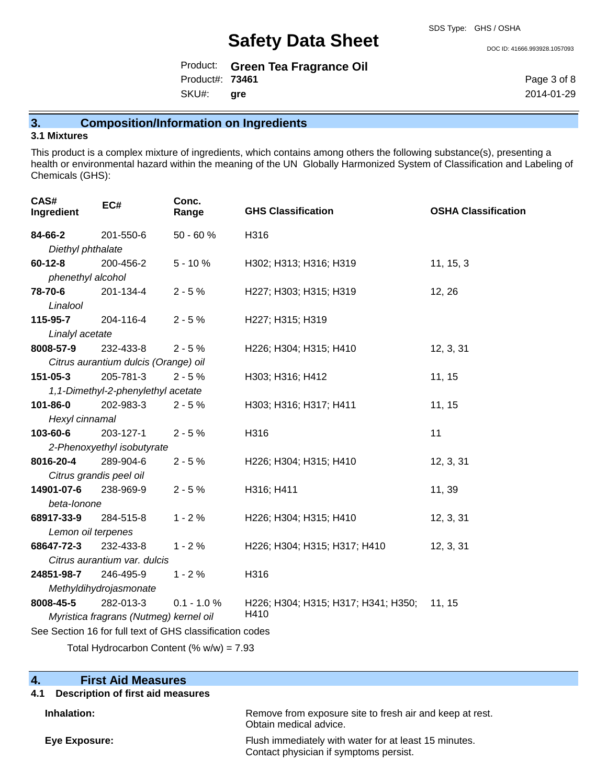DOC ID: 41666.993928.1057093

|                        | Product: Green Tea Fragrance Oil |
|------------------------|----------------------------------|
| Product#: <b>73461</b> |                                  |
| SKU#: gre              |                                  |

Page 3 of 8 2014-01-29

### **3. Composition/Information on Ingredients**

#### **3.1 Mixtures**

This product is a complex mixture of ingredients, which contains among others the following substance(s), presenting a health or environmental hazard within the meaning of the UN Globally Harmonized System of Classification and Labeling of Chemicals (GHS):

| CAS#<br>Ingredient | EC#                                                      | Conc.<br>Range | <b>GHS Classification</b>           | <b>OSHA Classification</b> |  |
|--------------------|----------------------------------------------------------|----------------|-------------------------------------|----------------------------|--|
| 84-66-2            | 201-550-6                                                | 50 - 60 %      | H316                                |                            |  |
| Diethyl phthalate  |                                                          |                |                                     |                            |  |
| $60 - 12 - 8$      | 200-456-2                                                | $5 - 10%$      | H302; H313; H316; H319              | 11, 15, 3                  |  |
| phenethyl alcohol  |                                                          |                |                                     |                            |  |
| 78-70-6            | 201-134-4                                                | $2 - 5%$       | H227; H303; H315; H319              | 12, 26                     |  |
| Linalool           |                                                          |                |                                     |                            |  |
| 115-95-7           | 204-116-4                                                | $2 - 5%$       | H227; H315; H319                    |                            |  |
| Linalyl acetate    |                                                          |                |                                     |                            |  |
| 8008-57-9          | 232-433-8                                                | $2 - 5%$       | H226; H304; H315; H410              | 12, 3, 31                  |  |
|                    | Citrus aurantium dulcis (Orange) oil                     |                |                                     |                            |  |
| 151-05-3           | 205-781-3                                                | $2 - 5%$       | H303; H316; H412                    | 11, 15                     |  |
|                    | 1,1-Dimethyl-2-phenylethyl acetate                       |                |                                     |                            |  |
| 101-86-0           | 202-983-3                                                | $2 - 5%$       | H303; H316; H317; H411              | 11, 15                     |  |
| Hexyl cinnamal     |                                                          |                |                                     |                            |  |
| 103-60-6           | 203-127-1                                                | $2 - 5%$       | H316                                | 11                         |  |
|                    | 2-Phenoxyethyl isobutyrate                               |                |                                     |                            |  |
| 8016-20-4          | 289-904-6                                                | $2 - 5%$       | H226; H304; H315; H410              | 12, 3, 31                  |  |
|                    | Citrus grandis peel oil                                  |                |                                     |                            |  |
| 14901-07-6         | 238-969-9                                                | $2 - 5%$       | H316; H411                          | 11, 39                     |  |
| beta-lonone        |                                                          |                |                                     |                            |  |
| 68917-33-9         | 284-515-8                                                | $1 - 2%$       | H226; H304; H315; H410              | 12, 3, 31                  |  |
| Lemon oil terpenes |                                                          |                |                                     |                            |  |
| 68647-72-3         | 232-433-8                                                | $1 - 2%$       | H226; H304; H315; H317; H410        | 12, 3, 31                  |  |
|                    | Citrus aurantium var. dulcis                             |                |                                     |                            |  |
| 24851-98-7         | 246-495-9                                                | $1 - 2%$       | H316                                |                            |  |
|                    | Methyldihydrojasmonate                                   |                |                                     |                            |  |
| 8008-45-5          | 282-013-3                                                | $0.1 - 1.0 %$  | H226; H304; H315; H317; H341; H350; | 11, 15                     |  |
|                    | Myristica fragrans (Nutmeg) kernel oil                   |                | H410                                |                            |  |
|                    | See Section 16 for full text of GHS classification codes |                |                                     |                            |  |

Total Hydrocarbon Content (%  $w/w$ ) = 7.93

#### **4. First Aid Measures**

#### **4.1 Description of first aid measures**

**Inhalation:** Remove from exposure site to fresh air and keep at rest.

Obtain medical advice. **Eye Exposure:** Flush immediately with water for at least 15 minutes. Contact physician if symptoms persist.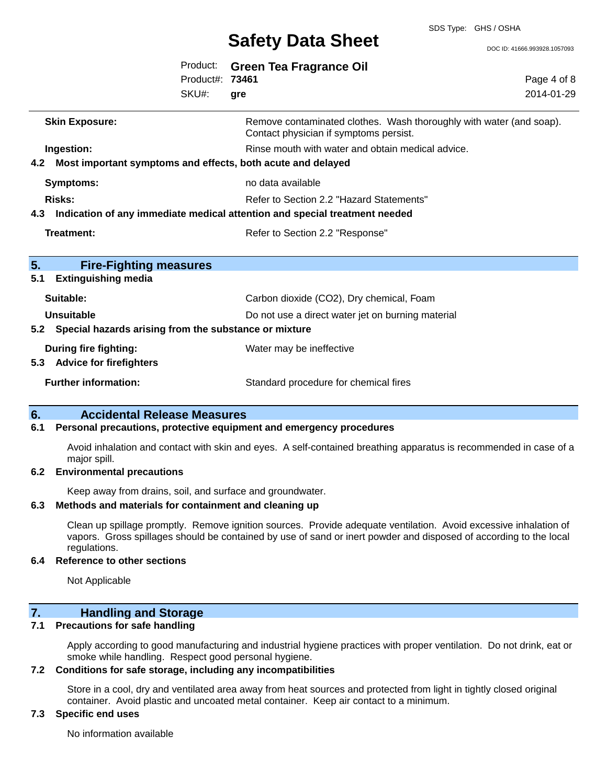DOC ID: 41666.993928.1057093

|     |                                                                            | Product:<br>Product#: 73461 | Green Tea Fragrance Oil                                                                                       | Page 4 of 8 |
|-----|----------------------------------------------------------------------------|-----------------------------|---------------------------------------------------------------------------------------------------------------|-------------|
|     |                                                                            | SKU#:                       | gre                                                                                                           | 2014-01-29  |
|     | <b>Skin Exposure:</b>                                                      |                             | Remove contaminated clothes. Wash thoroughly with water (and soap).<br>Contact physician if symptoms persist. |             |
|     | Ingestion:                                                                 |                             | Rinse mouth with water and obtain medical advice.                                                             |             |
| 4.2 | Most important symptoms and effects, both acute and delayed                |                             |                                                                                                               |             |
|     | <b>Symptoms:</b>                                                           |                             | no data available                                                                                             |             |
|     | Risks:                                                                     |                             | Refer to Section 2.2 "Hazard Statements"                                                                      |             |
| 4.3 | Indication of any immediate medical attention and special treatment needed |                             |                                                                                                               |             |
|     | Treatment:                                                                 |                             | Refer to Section 2.2 "Response"                                                                               |             |
| 5.  | <b>Fire-Fighting measures</b>                                              |                             |                                                                                                               |             |
| 5.1 | <b>Extinguishing media</b>                                                 |                             |                                                                                                               |             |
|     | Suitable:                                                                  |                             | Carbon dioxide (CO2), Dry chemical, Foam                                                                      |             |
|     | <b>Unsuitable</b>                                                          |                             | Do not use a direct water jet on burning material                                                             |             |
| 5.2 | Special hazards arising from the substance or mixture                      |                             |                                                                                                               |             |
| 5.3 | <b>During fire fighting:</b><br><b>Advice for firefighters</b>             |                             | Water may be ineffective                                                                                      |             |
|     | <b>Further information:</b>                                                |                             | Standard procedure for chemical fires                                                                         |             |

#### **6. Accidental Release Measures**

#### **6.1 Personal precautions, protective equipment and emergency procedures**

Avoid inhalation and contact with skin and eyes. A self-contained breathing apparatus is recommended in case of a major spill.

#### **6.2 Environmental precautions**

Keep away from drains, soil, and surface and groundwater.

#### **6.3 Methods and materials for containment and cleaning up**

Clean up spillage promptly. Remove ignition sources. Provide adequate ventilation. Avoid excessive inhalation of vapors. Gross spillages should be contained by use of sand or inert powder and disposed of according to the local regulations.

#### **6.4 Reference to other sections**

Not Applicable

## **7. Handling and Storage**

### **7.1 Precautions for safe handling**

Apply according to good manufacturing and industrial hygiene practices with proper ventilation. Do not drink, eat or smoke while handling. Respect good personal hygiene.

### **7.2 Conditions for safe storage, including any incompatibilities**

Store in a cool, dry and ventilated area away from heat sources and protected from light in tightly closed original container. Avoid plastic and uncoated metal container. Keep air contact to a minimum.

## **7.3 Specific end uses**

No information available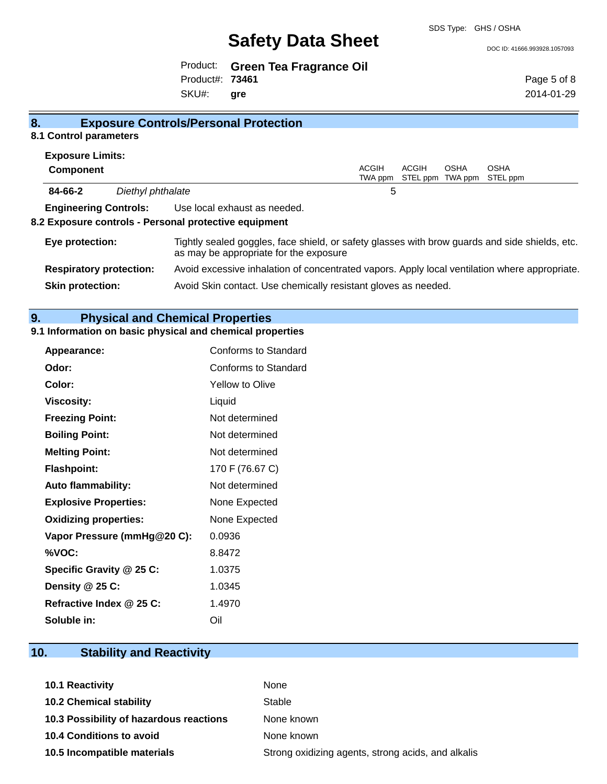SDS Type: GHS / OSHA

DOC ID: 41666.993928.1057093

Product: **Green Tea Fragrance Oil** SKU#: Product#: **73461 gre**

Page 5 of 8 2014-01-29

#### **8. Exposure Controls/Personal Protection 8.1 Control parameters**

| <b>Exposure Limits:</b>        |                   |                                                                                                                                          |         |       |      |                           |  |
|--------------------------------|-------------------|------------------------------------------------------------------------------------------------------------------------------------------|---------|-------|------|---------------------------|--|
| <b>Component</b>               |                   |                                                                                                                                          | ACGIH   | ACGIH | OSHA | <b>OSHA</b>               |  |
|                                |                   |                                                                                                                                          | TWA ppm |       |      | STEL ppm TWA ppm STEL ppm |  |
| 84-66-2                        | Diethyl phthalate |                                                                                                                                          | 5       |       |      |                           |  |
| <b>Engineering Controls:</b>   |                   | Use local exhaust as needed.                                                                                                             |         |       |      |                           |  |
|                                |                   | 8.2 Exposure controls - Personal protective equipment                                                                                    |         |       |      |                           |  |
| Eye protection:                |                   | Tightly sealed goggles, face shield, or safety glasses with brow guards and side shields, etc.<br>as may be appropriate for the exposure |         |       |      |                           |  |
| <b>Respiratory protection:</b> |                   | Avoid excessive inhalation of concentrated vapors. Apply local ventilation where appropriate.                                            |         |       |      |                           |  |
| <b>Skin protection:</b>        |                   | Avoid Skin contact. Use chemically resistant gloves as needed.                                                                           |         |       |      |                           |  |
|                                |                   |                                                                                                                                          |         |       |      |                           |  |

# **9. Physical and Chemical Properties**

## **9.1 Information on basic physical and chemical properties**

| Appearance:                  | Conforms to Standard        |
|------------------------------|-----------------------------|
| Odor:                        | <b>Conforms to Standard</b> |
| Color:                       | Yellow to Olive             |
| <b>Viscosity:</b>            | Liquid                      |
| <b>Freezing Point:</b>       | Not determined              |
| <b>Boiling Point:</b>        | Not determined              |
| <b>Melting Point:</b>        | Not determined              |
| <b>Flashpoint:</b>           | 170 F (76.67 C)             |
| <b>Auto flammability:</b>    | Not determined              |
| <b>Explosive Properties:</b> | None Expected               |
| <b>Oxidizing properties:</b> | None Expected               |
| Vapor Pressure (mmHg@20 C):  | 0.0936                      |
| %VOC:                        | 8.8472                      |
| Specific Gravity @ 25 C:     | 1.0375                      |
| Density @ 25 C:              | 1.0345                      |
| Refractive Index @ 25 C:     | 1.4970                      |
| Soluble in:                  | Oil                         |

# **10. Stability and Reactivity**

| <b>10.1 Reactivity</b>                  | None                                               |
|-----------------------------------------|----------------------------------------------------|
| <b>10.2 Chemical stability</b>          | Stable                                             |
| 10.3 Possibility of hazardous reactions | None known                                         |
| 10.4 Conditions to avoid                | None known                                         |
| 10.5 Incompatible materials             | Strong oxidizing agents, strong acids, and alkalis |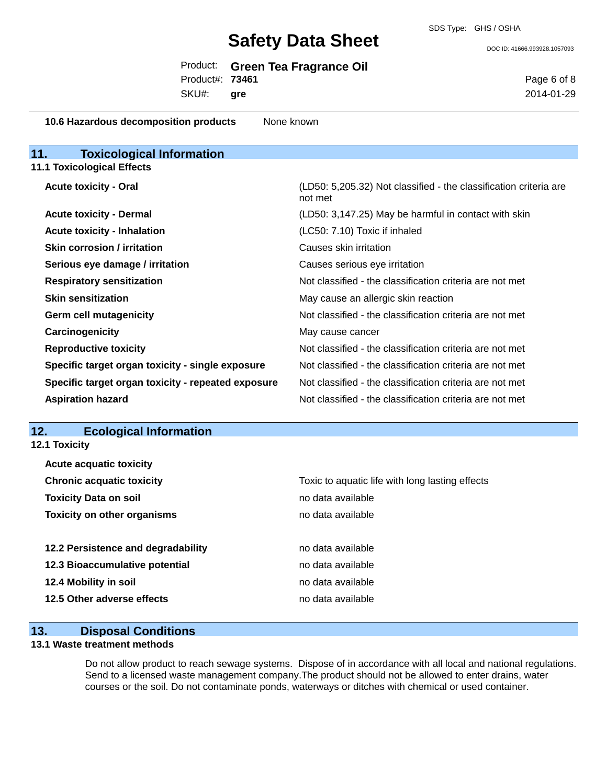DOC ID: 41666.993928.1057093

|                 | Product: Green Tea Fragrance Oil |
|-----------------|----------------------------------|
| Product#: 73461 |                                  |

SKU#: **gre** Page 6 of 8 2014-01-29

| 10.6 Hazardous decomposition products              | None known                                                                   |
|----------------------------------------------------|------------------------------------------------------------------------------|
| 11.<br><b>Toxicological Information</b>            |                                                                              |
| <b>11.1 Toxicological Effects</b>                  |                                                                              |
| <b>Acute toxicity - Oral</b>                       | (LD50: 5,205.32) Not classified - the classification criteria are<br>not met |
| <b>Acute toxicity - Dermal</b>                     | (LD50: 3,147.25) May be harmful in contact with skin                         |
| <b>Acute toxicity - Inhalation</b>                 | (LC50: 7.10) Toxic if inhaled                                                |
| <b>Skin corrosion / irritation</b>                 | Causes skin irritation                                                       |
| Serious eye damage / irritation                    | Causes serious eye irritation                                                |
| <b>Respiratory sensitization</b>                   | Not classified - the classification criteria are not met                     |
| <b>Skin sensitization</b>                          | May cause an allergic skin reaction                                          |
| <b>Germ cell mutagenicity</b>                      | Not classified - the classification criteria are not met                     |
| Carcinogenicity                                    | May cause cancer                                                             |
| <b>Reproductive toxicity</b>                       | Not classified - the classification criteria are not met                     |
| Specific target organ toxicity - single exposure   | Not classified - the classification criteria are not met                     |
| Specific target organ toxicity - repeated exposure | Not classified - the classification criteria are not met                     |
| <b>Aspiration hazard</b>                           | Not classified - the classification criteria are not met                     |
|                                                    |                                                                              |

## **12. Ecological Information**

**12.1 Toxicity**

| <b>Acute acquatic toxicity</b>     |                                                 |
|------------------------------------|-------------------------------------------------|
| <b>Chronic acquatic toxicity</b>   | Toxic to aquatic life with long lasting effects |
| <b>Toxicity Data on soil</b>       | no data available                               |
| <b>Toxicity on other organisms</b> | no data available                               |
|                                    |                                                 |
| 12.2 Persistence and degradability | no data available                               |
| 12.3 Bioaccumulative potential     | no data available                               |
| 12.4 Mobility in soil              | no data available                               |
| 12.5 Other adverse effects         | no data available                               |
|                                    |                                                 |

### **13. Disposal Conditions**

#### **13.1 Waste treatment methods**

Do not allow product to reach sewage systems. Dispose of in accordance with all local and national regulations. Send to a licensed waste management company.The product should not be allowed to enter drains, water courses or the soil. Do not contaminate ponds, waterways or ditches with chemical or used container.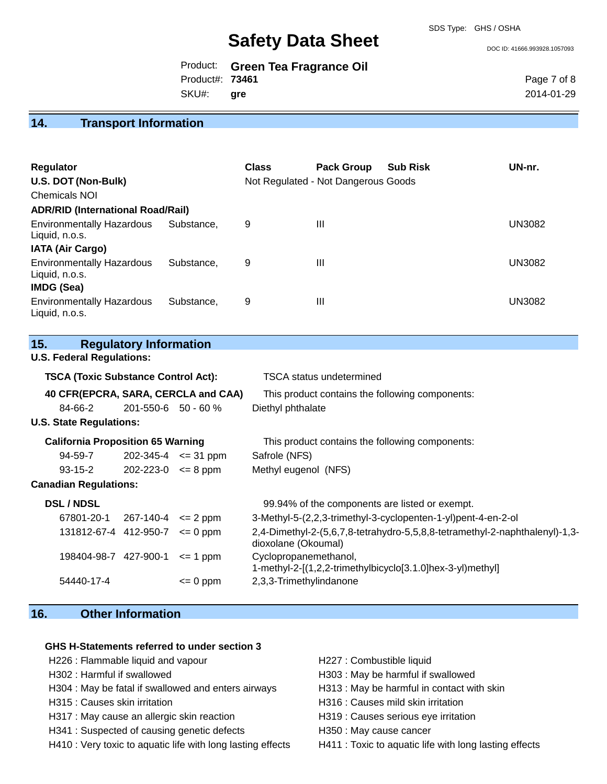DOC ID: 41666.993928.1057093

|                 | Product: Green Tea Fragrance Oil |
|-----------------|----------------------------------|
| Product#: 73461 |                                  |
| SKU#: gre       |                                  |

Page 7 of 8 2014-01-29

## **14. Transport Information**

| <b>Regulator</b><br>U.S. DOT (Non-Bulk)<br><b>Chemicals NOI</b><br><b>ADR/RID (International Road/Rail)</b> |            | <b>Class</b> | <b>Pack Group</b><br>Not Regulated - Not Dangerous Goods | <b>Sub Risk</b> | UN-nr.        |
|-------------------------------------------------------------------------------------------------------------|------------|--------------|----------------------------------------------------------|-----------------|---------------|
| <b>Environmentally Hazardous</b><br>Liquid, n.o.s.                                                          | Substance. | 9            | Ш                                                        |                 | <b>UN3082</b> |
| <b>IATA (Air Cargo)</b><br><b>Environmentally Hazardous</b><br>Liquid, n.o.s.<br><b>IMDG (Sea)</b>          | Substance. | 9            | Ш                                                        |                 | <b>UN3082</b> |
| <b>Environmentally Hazardous</b><br>Liquid, n.o.s.                                                          | Substance. | 9            | Ш                                                        |                 | <b>UN3082</b> |

**15. Regulatory Information**

**U.S. Federal Regulations:**

| <b>TSCA (Toxic Substance Control Act):</b> |                            |              | TSCA status undetermined                                                                           |
|--------------------------------------------|----------------------------|--------------|----------------------------------------------------------------------------------------------------|
| 40 CFR(EPCRA, SARA, CERCLA and CAA)        |                            |              | This product contains the following components:                                                    |
| 84-66-2                                    | $201 - 550 - 6$ 50 - 60 %  |              | Diethyl phthalate                                                                                  |
| <b>U.S. State Regulations:</b>             |                            |              |                                                                                                    |
| <b>California Proposition 65 Warning</b>   |                            |              | This product contains the following components:                                                    |
| 94-59-7                                    | $202 - 345 - 4 \le 31$ ppm |              | Safrole (NFS)                                                                                      |
| 93-15-2                                    | $202 - 223 - 0 \le 8$ ppm  |              | Methyl eugenol (NFS)                                                                               |
| <b>Canadian Regulations:</b>               |                            |              |                                                                                                    |
| <b>DSL / NDSL</b>                          |                            |              | 99.94% of the components are listed or exempt.                                                     |
| 67801-20-1 267-140-4 $\leq$ 2 ppm          |                            |              | 3-Methyl-5-(2,2,3-trimethyl-3-cyclopenten-1-yl)pent-4-en-2-ol                                      |
| $131812-67-4$ 412-950-7 $\leq 0$ ppm       |                            |              | 2,4-Dimethyl-2-(5,6,7,8-tetrahydro-5,5,8,8-tetramethyl-2-naphthalenyl)-1,3-<br>dioxolane (Okoumal) |
| 198404-98-7 427-900-1                      |                            | $\leq$ 1 ppm | Cyclopropanemethanol,<br>1-methyl-2-[(1,2,2-trimethylbicyclo[3.1.0]hex-3-yl)methyl]                |
| 54440-17-4                                 |                            | $= 0$ ppm    | 2,3,3-Trimethylindanone                                                                            |

# **16. Other Information**

#### **GHS H-Statements referred to under section 3**

- H226 : Flammable liquid and vapour **H227** : Combustible liquid
- 
- H304 : May be fatal if swallowed and enters airways H313 : May be harmful in contact with skin
- 
- H317 : May cause an allergic skin reaction H319 : Causes serious eye irritation
- H341 : Suspected of causing genetic defects H350 : May cause cancer
- H410 : Very toxic to aquatic life with long lasting effects H411 : Toxic to aquatic life with long lasting effects
- 
- H302 : Harmful if swallowed **H303** : May be harmful if swallowed
	-
- H315 : Causes skin irritation **H316** : Causes mild skin irritation
	-
	-
	-